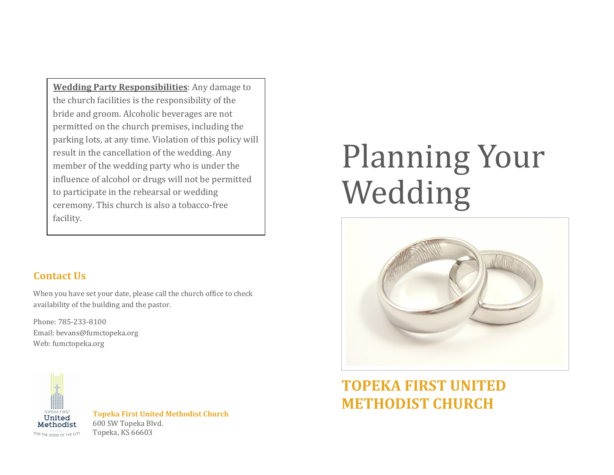**Wedding Party Responsibilities:** Any damage to the church facilities is the responsibility of the bride and groom. Alcoholic beverages are not permitted on the church premises, including the parking lots, at any time. Violation of this policy will result in the cancellation of the wedding. Any member of the wedding party who is under the influence of alcohol or drugs will not be permitted to participate in the rehearsal or wedding ceremony. This church is also a tobacco-free facility.

## **Contact Us**

When you have set your date, please call the church office to check availability of the building and the pastor.

Phone: 785-233-8100 Email: bevans@fumctopeka.org Web: fumctopeka.org



**Topeka First United Methodist Church** 600 SW Topeka Blvd. Topeka, KS 66603

## **Planning Your** Wedding



## **TOPEKA FIRST UNITED METHODIST CHURCH**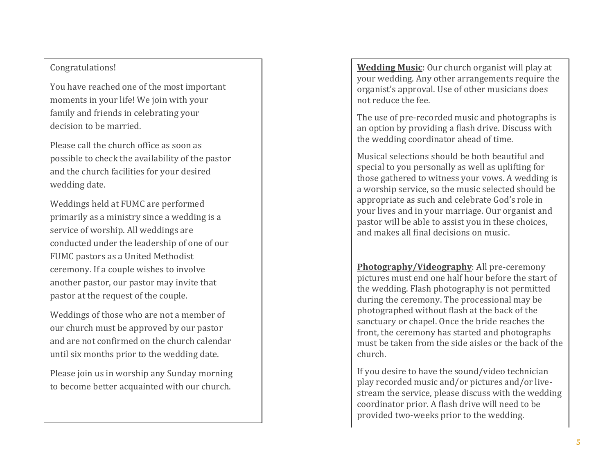## Congratulations!

You have reached one of the most important moments in your life! We join with your family and friends in celebrating your decision to be married.

Please call the church office as soon as possible to check the availability of the pastor and the church facilities for your desired wedding date.

Weddings held at FUMC are performed primarily as a ministry since a wedding is a service of worship. All weddings are conducted under the leadership of one of our FUMC pastors as a United Methodist ceremony. If a couple wishes to involve another pastor, our pastor may invite that pastor at the request of the couple.

Weddings of those who are not a member of our church must be approved by our pastor and are not confirmed on the church calendar until six months prior to the wedding date.

Please join us in worship any Sunday morning to become better acquainted with our church.

**Wedding Music**: Our church organist will play at your wedding. Any other arrangements require the organist's approval. Use of other musicians does not reduce the fee.

The use of pre-recorded music and photographs is an option by providing a flash drive. Discuss with the wedding coordinator ahead of time.

Musical selections should be both beautiful and special to you personally as well as uplifting for those gathered to witness your vows. A wedding is a worship service, so the music selected should be appropriate as such and celebrate God's role in your lives and in your marriage. Our organist and pastor will be able to assist you in these choices, and makes all final decisions on music.

Photography/Videography: All pre-ceremony pictures must end one half hour before the start of the wedding. Flash photography is not permitted during the ceremony. The processional may be photographed without flash at the back of the sanctuary or chapel. Once the bride reaches the front, the ceremony has started and photographs must be taken from the side aisles or the back of the church. 

If you desire to have the sound/video technician play recorded music and/or pictures and/or livestream the service, please discuss with the wedding coordinator prior. A flash drive will need to be provided two-weeks prior to the wedding.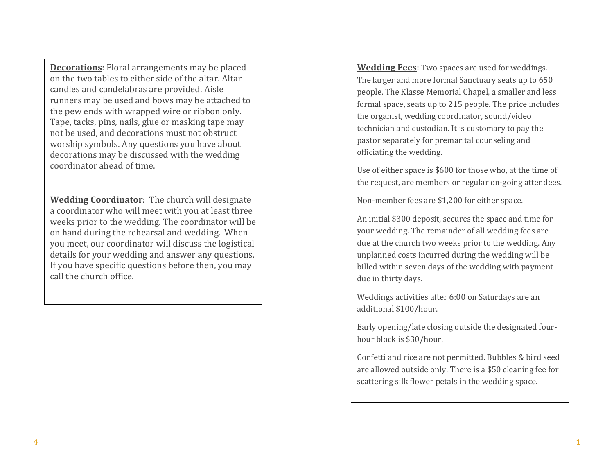**Decorations**: Floral arrangements may be placed on the two tables to either side of the altar. Altar candles and candelabras are provided. Aisle runners may be used and bows may be attached to the pew ends with wrapped wire or ribbon only. Tape, tacks, pins, nails, glue or masking tape may not be used, and decorations must not obstruct worship symbols. Any questions you have about decorations may be discussed with the wedding coordinator ahead of time.

**Wedding Coordinator:** The church will designate a coordinator who will meet with you at least three weeks prior to the wedding. The coordinator will be on hand during the rehearsal and wedding. When you meet, our coordinator will discuss the logistical details for your wedding and answer any questions. If you have specific questions before then, you may call the church office.

**Wedding Fees**: Two spaces are used for weddings. The larger and more formal Sanctuary seats up to 650 people. The Klasse Memorial Chapel, a smaller and less formal space, seats up to 215 people. The price includes the organist, wedding coordinator, sound/video technician and custodian. It is customary to pay the pastor separately for premarital counseling and officiating the wedding.

Use of either space is \$600 for those who, at the time of the request, are members or regular on-going attendees.

Non-member fees are \$1,200 for either space.

An initial \$300 deposit, secures the space and time for your wedding. The remainder of all wedding fees are due at the church two weeks prior to the wedding. Any unplanned costs incurred during the wedding will be billed within seven days of the wedding with payment due in thirty days.

Weddings activities after 6:00 on Saturdays are an additional \$100/hour.

Early opening/late closing outside the designated fourhour block is \$30/hour.

Confetti and rice are not permitted. Bubbles & bird seed are allowed outside only. There is a \$50 cleaning fee for scattering silk flower petals in the wedding space.